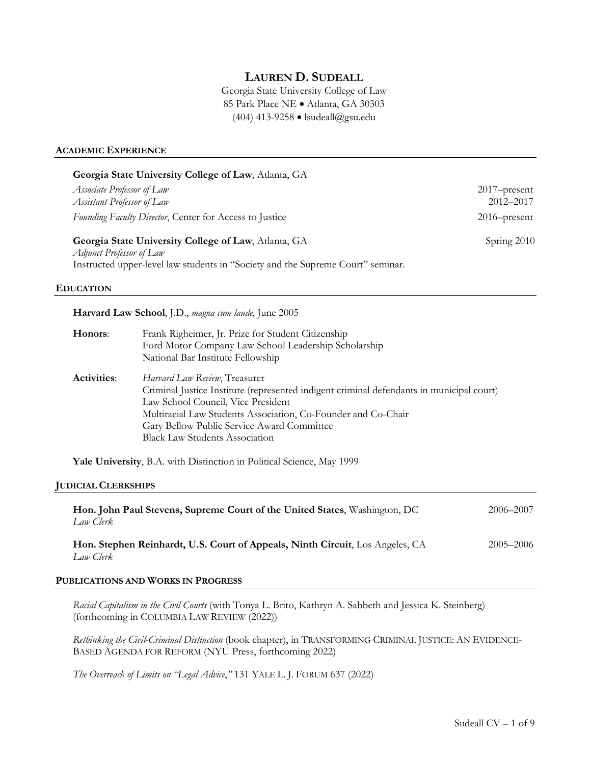# **LAUREN D. SUDEALL**

Georgia State University College of Law 85 Park Place NE • Atlanta, GA 30303 (404) 413-9258 • lsudeall@gsu.edu

#### **ACADEMIC EXPERIENCE**

|                                                          | Georgia State University College of Law, Atlanta, GA                                                                                                                                                                                                                                                                    |                           |
|----------------------------------------------------------|-------------------------------------------------------------------------------------------------------------------------------------------------------------------------------------------------------------------------------------------------------------------------------------------------------------------------|---------------------------|
| Associate Professor of Law<br>Assistant Professor of Law |                                                                                                                                                                                                                                                                                                                         | 2017-present<br>2012-2017 |
| Founding Faculty Director, Center for Access to Justice  |                                                                                                                                                                                                                                                                                                                         | 2016-present              |
| Adjunct Professor of Law<br><b>EDUCATION</b>             | Georgia State University College of Law, Atlanta, GA<br>Instructed upper-level law students in "Society and the Supreme Court" seminar.                                                                                                                                                                                 | Spring 2010               |
|                                                          | Harvard Law School, J.D., magna cum laude, June 2005                                                                                                                                                                                                                                                                    |                           |
| Honors:                                                  | Frank Righeimer, Jr. Prize for Student Citizenship<br>Ford Motor Company Law School Leadership Scholarship<br>National Bar Institute Fellowship                                                                                                                                                                         |                           |
| <b>Activities:</b>                                       | Harvard Law Review, Treasurer<br>Criminal Justice Institute (represented indigent criminal defendants in municipal court)<br>Law School Council, Vice President<br>Multiracial Law Students Association, Co-Founder and Co-Chair<br>Gary Bellow Public Service Award Committee<br><b>Black Law Students Association</b> |                           |
|                                                          | Yale University, B.A. with Distinction in Political Science, May 1999                                                                                                                                                                                                                                                   |                           |
| <b>JUDICIAL CLERKSHIPS</b>                               |                                                                                                                                                                                                                                                                                                                         |                           |
| Law Clerk                                                | Hon. John Paul Stevens, Supreme Court of the United States, Washington, DC                                                                                                                                                                                                                                              | 2006-2007                 |
| Law Clerk                                                | Hon. Stephen Reinhardt, U.S. Court of Appeals, Ninth Circuit, Los Angeles, CA                                                                                                                                                                                                                                           | 2005-2006                 |
|                                                          | PUBLICATIONS AND WORKS IN PROGRESS                                                                                                                                                                                                                                                                                      |                           |

*Racial Capitalism in the Civil Courts* (with Tonya L. Brito, Kathryn A. Sabbeth and Jessica K. Steinberg) (forthcoming in COLUMBIA LAW REVIEW (2022))

*Rethinking the Civil-Criminal Distinction* (book chapter), in TRANSFORMING CRIMINAL JUSTICE: AN EVIDENCE-BASED AGENDA FOR REFORM (NYU Press, forthcoming 2022)

*The Overreach of Limits on "Legal Advice*,*"* 131 YALE L. J. FORUM 637 (2022)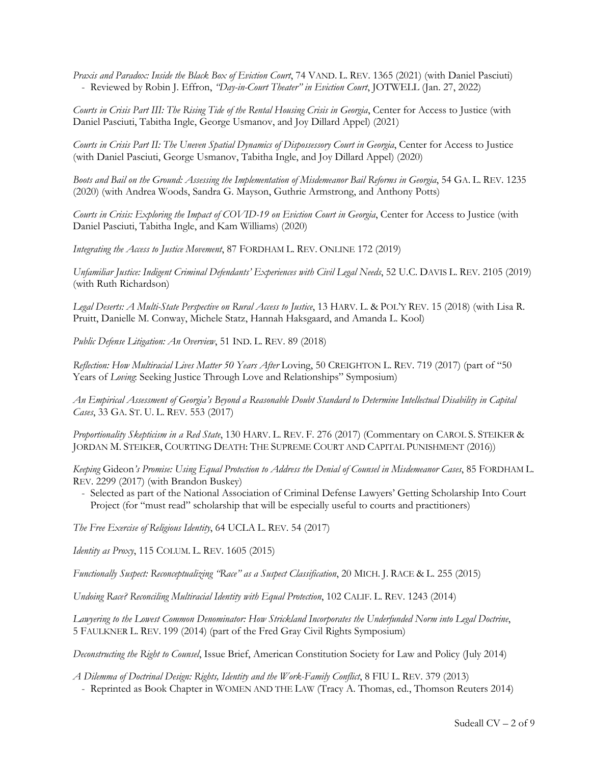*Praxis and Paradox: Inside the Black Box of Eviction Court*, 74 VAND. L. REV. 1365 (2021) (with Daniel Pasciuti) - Reviewed by Robin J. Effron, *"Day-in-Court Theater" in Eviction Court*, JOTWELL (Jan. 27, 2022)

*Courts in Crisis Part III: The Rising Tide of the Rental Housing Crisis in Georgia*, Center for Access to Justice (with Daniel Pasciuti, Tabitha Ingle, George Usmanov, and Joy Dillard Appel) (2021)

*Courts in Crisis Part II: The Uneven Spatial Dynamics of Dispossessory Court in Georgia*, Center for Access to Justice (with Daniel Pasciuti, George Usmanov, Tabitha Ingle, and Joy Dillard Appel) (2020)

*Boots and Bail on the Ground: Assessing the Implementation of Misdemeanor Bail Reforms in Georgia*, 54 GA. L. REV. 1235 (2020) (with Andrea Woods, Sandra G. Mayson, Guthrie Armstrong, and Anthony Potts)

*Courts in Crisis: Exploring the Impact of COVID-19 on Eviction Court in Georgia*, Center for Access to Justice (with Daniel Pasciuti, Tabitha Ingle, and Kam Williams) (2020)

*Integrating the Access to Justice Movement*, 87 FORDHAM L. REV. ONLINE 172 (2019)

*Unfamiliar Justice: Indigent Criminal Defendants' Experiences with Civil Legal Needs*, 52 U.C. DAVIS L. REV. 2105 (2019) (with Ruth Richardson)

*Legal Deserts: A Multi-State Perspective on Rural Access to Justice*, 13 HARV. L. & POL'Y REV. 15 (2018) (with Lisa R. Pruitt, Danielle M. Conway, Michele Statz, Hannah Haksgaard, and Amanda L. Kool)

*Public Defense Litigation: An Overview*, 51 IND. L. REV. 89 (2018)

*Reflection: How Multiracial Lives Matter 50 Years After* Loving, 50 CREIGHTON L. REV. 719 (2017) (part of "50 Years of *Loving*: Seeking Justice Through Love and Relationships" Symposium)

*An Empirical Assessment of Georgia's Beyond a Reasonable Doubt Standard to Determine Intellectual Disability in Capital Cases*, 33 GA. ST. U. L. REV. 553 (2017)

*Proportionality Skepticism in a Red State*, 130 HARV. L. REV. F. 276 (2017) (Commentary on CAROL S. STEIKER & JORDAN M. STEIKER, COURTING DEATH: THE SUPREME COURT AND CAPITAL PUNISHMENT (2016))

*Keeping* Gideon*'s Promise: Using Equal Protection to Address the Denial of Counsel in Misdemeanor Cases*, 85 FORDHAM L. REV. 2299 (2017) (with Brandon Buskey)

- Selected as part of the National Association of Criminal Defense Lawyers' Getting Scholarship Into Court Project (for "must read" scholarship that will be especially useful to courts and practitioners)

*The Free Exercise of Religious Identity*, 64 UCLA L. REV. 54 (2017)

*Identity as Proxy*, 115 COLUM. L. REV. 1605 (2015)

*Functionally Suspect: Reconceptualizing "Race" as a Suspect Classification*, 20 MICH. J. RACE & L. 255 (2015)

*Undoing Race? Reconciling Multiracial Identity with Equal Protection*, 102 CALIF. L. REV. 1243 (2014)

*Lawyering to the Lowest Common Denominator: How Strickland Incorporates the Underfunded Norm into Legal Doctrine*, 5 FAULKNER L. REV. 199 (2014) (part of the Fred Gray Civil Rights Symposium)

*Deconstructing the Right to Counsel*, Issue Brief, American Constitution Society for Law and Policy (July 2014)

*A Dilemma of Doctrinal Design: Rights, Identity and the Work-Family Conflict*, 8 FIU L. REV. 379 (2013)

- Reprinted as Book Chapter in WOMEN AND THE LAW (Tracy A. Thomas, ed., Thomson Reuters 2014)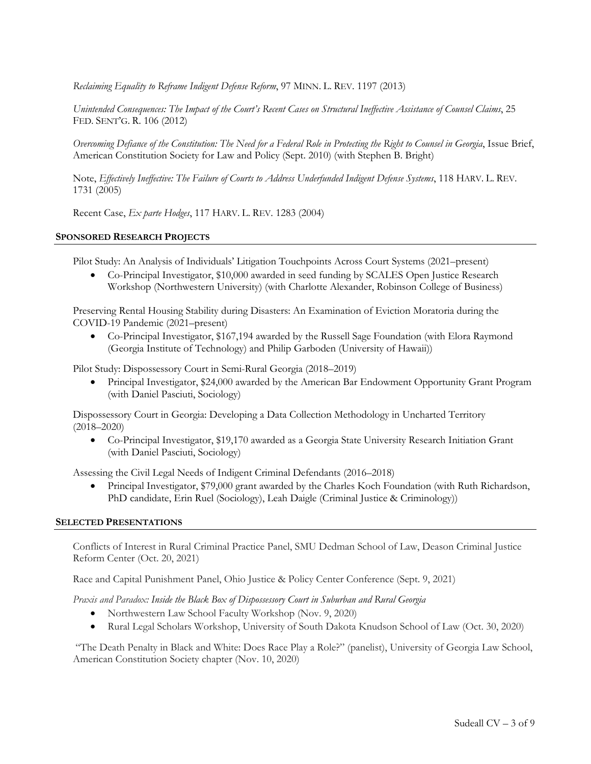*Reclaiming Equality to Reframe Indigent Defense Reform*, 97 MINN. L. REV. 1197 (2013)

*Unintended Consequences: The Impact of the Court's Recent Cases on Structural Ineffective Assistance of Counsel Claims*, 25 FED. SENT'G. R. 106 (2012)

*Overcoming Defiance of the Constitution: The Need for a Federal Role in Protecting the Right to Counsel in Georgia*, Issue Brief, American Constitution Society for Law and Policy (Sept. 2010) (with Stephen B. Bright)

Note, *Effectively Ineffective: The Failure of Courts to Address Underfunded Indigent Defense Systems*, 118 HARV. L. REV. 1731 (2005)

Recent Case, *Ex parte Hodges*, 117 HARV. L. REV. 1283 (2004)

### **SPONSORED RESEARCH PROJECTS**

Pilot Study: An Analysis of Individuals' Litigation Touchpoints Across Court Systems (2021–present)

• Co-Principal Investigator, \$10,000 awarded in seed funding by SCALES Open Justice Research Workshop (Northwestern University) (with Charlotte Alexander, Robinson College of Business)

Preserving Rental Housing Stability during Disasters: An Examination of Eviction Moratoria during the COVID-19 Pandemic (2021–present)

• Co-Principal Investigator, \$167,194 awarded by the Russell Sage Foundation (with Elora Raymond (Georgia Institute of Technology) and Philip Garboden (University of Hawaii))

Pilot Study: Dispossessory Court in Semi-Rural Georgia (2018–2019)

• Principal Investigator, \$24,000 awarded by the American Bar Endowment Opportunity Grant Program (with Daniel Pasciuti, Sociology)

Dispossessory Court in Georgia: Developing a Data Collection Methodology in Uncharted Territory (2018–2020)

• Co-Principal Investigator, \$19,170 awarded as a Georgia State University Research Initiation Grant (with Daniel Pasciuti, Sociology)

Assessing the Civil Legal Needs of Indigent Criminal Defendants (2016–2018)

• Principal Investigator, \$79,000 grant awarded by the Charles Koch Foundation (with Ruth Richardson, PhD candidate, Erin Ruel (Sociology), Leah Daigle (Criminal Justice & Criminology))

### **SELECTED PRESENTATIONS**

Conflicts of Interest in Rural Criminal Practice Panel, SMU Dedman School of Law, Deason Criminal Justice Reform Center (Oct. 20, 2021)

Race and Capital Punishment Panel, Ohio Justice & Policy Center Conference (Sept. 9, 2021)

*Praxis and Paradox: Inside the Black Box of Dispossessory Court in Suburban and Rural Georgia*

- Northwestern Law School Faculty Workshop (Nov. 9, 2020)
- Rural Legal Scholars Workshop, University of South Dakota Knudson School of Law (Oct. 30, 2020)

"The Death Penalty in Black and White: Does Race Play a Role?" (panelist), University of Georgia Law School, American Constitution Society chapter (Nov. 10, 2020)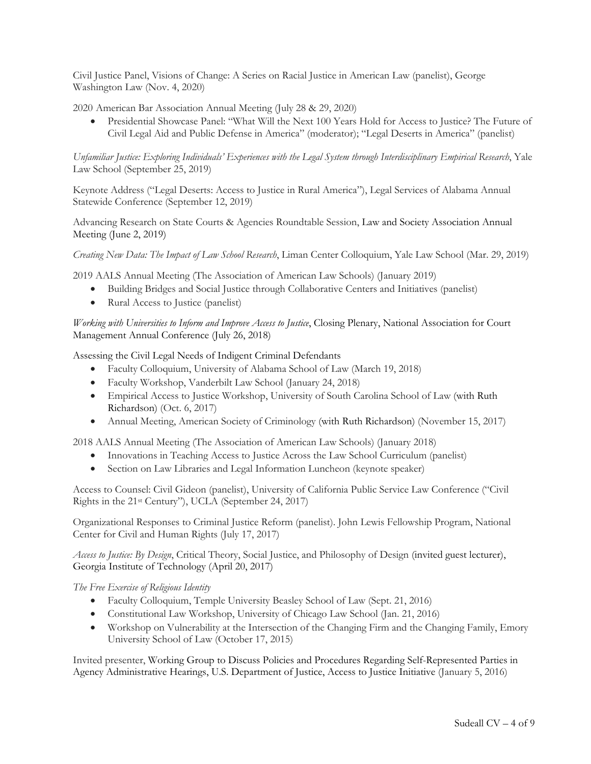Civil Justice Panel, Visions of Change: A Series on Racial Justice in American Law (panelist), George Washington Law (Nov. 4, 2020)

2020 American Bar Association Annual Meeting (July 28 & 29, 2020)

• Presidential Showcase Panel: "What Will the Next 100 Years Hold for Access to Justice? The Future of Civil Legal Aid and Public Defense in America" (moderator); "Legal Deserts in America" (panelist)

*Unfamiliar Justice: Exploring Individuals' Experiences with the Legal System through Interdisciplinary Empirical Research*, Yale Law School (September 25, 2019)

Keynote Address ("Legal Deserts: Access to Justice in Rural America"), Legal Services of Alabama Annual Statewide Conference (September 12, 2019)

Advancing Research on State Courts & Agencies Roundtable Session, Law and Society Association Annual Meeting (June 2, 2019)

*Creating New Data: The Impact of Law School Research*, Liman Center Colloquium, Yale Law School (Mar. 29, 2019)

2019 AALS Annual Meeting (The Association of American Law Schools) (January 2019)

- Building Bridges and Social Justice through Collaborative Centers and Initiatives (panelist)
- Rural Access to Justice (panelist)

*Working with Universities to Inform and Improve Access to Justice*, Closing Plenary, National Association for Court Management Annual Conference (July 26, 2018)

Assessing the Civil Legal Needs of Indigent Criminal Defendants

- Faculty Colloquium, University of Alabama School of Law (March 19, 2018)
- Faculty Workshop, Vanderbilt Law School (January 24, 2018)
- Empirical Access to Justice Workshop, University of South Carolina School of Law (with Ruth Richardson) (Oct. 6, 2017)
- Annual Meeting, American Society of Criminology (with Ruth Richardson) (November 15, 2017)

2018 AALS Annual Meeting (The Association of American Law Schools) (January 2018)

- Innovations in Teaching Access to Justice Across the Law School Curriculum (panelist)
- Section on Law Libraries and Legal Information Luncheon (keynote speaker)

Access to Counsel: Civil Gideon (panelist), University of California Public Service Law Conference ("Civil Rights in the 21st Century"), UCLA (September 24, 2017)

Organizational Responses to Criminal Justice Reform (panelist). John Lewis Fellowship Program, National Center for Civil and Human Rights (July 17, 2017)

*Access to Justice: By Design*, Critical Theory, Social Justice, and Philosophy of Design (invited guest lecturer), Georgia Institute of Technology (April 20, 2017)

*The Free Exercise of Religious Identity*

- Faculty Colloquium, Temple University Beasley School of Law (Sept. 21, 2016)
- Constitutional Law Workshop, University of Chicago Law School (Jan. 21, 2016)
- Workshop on Vulnerability at the Intersection of the Changing Firm and the Changing Family, Emory University School of Law (October 17, 2015)

Invited presenter, Working Group to Discuss Policies and Procedures Regarding Self-Represented Parties in Agency Administrative Hearings, U.S. Department of Justice, Access to Justice Initiative (January 5, 2016)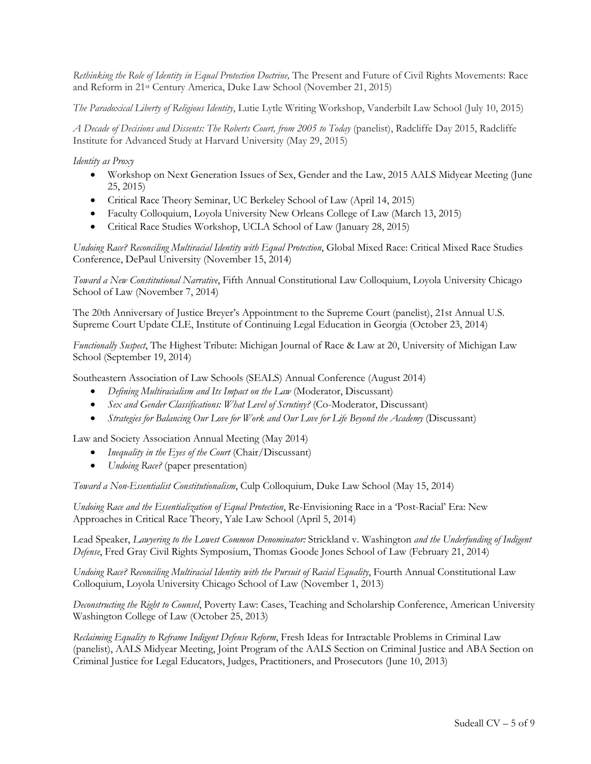*Rethinking the Role of Identity in Equal Protection Doctrine,* The Present and Future of Civil Rights Movements: Race and Reform in 21st Century America, Duke Law School (November 21, 2015)

*The Paradoxical Liberty of Religious Identity*, Lutie Lytle Writing Workshop, Vanderbilt Law School (July 10, 2015)

*A Decade of Decisions and Dissents: The Roberts Court, from 2005 to Today* (panelist), Radcliffe Day 2015, Radcliffe Institute for Advanced Study at Harvard University (May 29, 2015)

*Identity as Proxy*

- Workshop on Next Generation Issues of Sex, Gender and the Law, 2015 AALS Midyear Meeting (June 25, 2015)
- Critical Race Theory Seminar, UC Berkeley School of Law (April 14, 2015)
- Faculty Colloquium, Loyola University New Orleans College of Law (March 13, 2015)
- Critical Race Studies Workshop, UCLA School of Law (January 28, 2015)

*Undoing Race? Reconciling Multiracial Identity with Equal Protection*, Global Mixed Race: Critical Mixed Race Studies Conference, DePaul University (November 15, 2014)

*Toward a New Constitutional Narrative*, Fifth Annual Constitutional Law Colloquium, Loyola University Chicago School of Law (November 7, 2014)

The 20th Anniversary of Justice Breyer's Appointment to the Supreme Court (panelist), 21st Annual U.S. Supreme Court Update CLE, Institute of Continuing Legal Education in Georgia (October 23, 2014)

*Functionally Suspect*, The Highest Tribute: Michigan Journal of Race & Law at 20, University of Michigan Law School (September 19, 2014)

Southeastern Association of Law Schools (SEALS) Annual Conference (August 2014)

- *Defining Multiracialism and Its Impact on the Law* (Moderator, Discussant)
- *Sex and Gender Classifications: What Level of Scrutiny?* (Co-Moderator, Discussant)
- *Strategies for Balancing Our Love for Work and Our Love for Life Beyond the Academy* (Discussant)

Law and Society Association Annual Meeting (May 2014)

- *Inequality in the Eyes of the Court* (Chair/Discussant)
- *Undoing Race?* (paper presentation)

*Toward a Non-Essentialist Constitutionalism*, Culp Colloquium, Duke Law School (May 15, 2014)

*Undoing Race and the Essentialization of Equal Protection*, Re-Envisioning Race in a 'Post-Racial' Era: New Approaches in Critical Race Theory, Yale Law School (April 5, 2014)

Lead Speaker, *Lawyering to the Lowest Common Denominator:* Strickland v. Washington *and the Underfunding of Indigent Defense*, Fred Gray Civil Rights Symposium, Thomas Goode Jones School of Law (February 21, 2014)

*Undoing Race? Reconciling Multiracial Identity with the Pursuit of Racial Equality*, Fourth Annual Constitutional Law Colloquium, Loyola University Chicago School of Law (November 1, 2013)

*Deconstructing the Right to Counsel*, Poverty Law: Cases, Teaching and Scholarship Conference, American University Washington College of Law (October 25, 2013)

*Reclaiming Equality to Reframe Indigent Defense Reform*, Fresh Ideas for Intractable Problems in Criminal Law (panelist), AALS Midyear Meeting, Joint Program of the AALS Section on Criminal Justice and ABA Section on Criminal Justice for Legal Educators, Judges, Practitioners, and Prosecutors (June 10, 2013)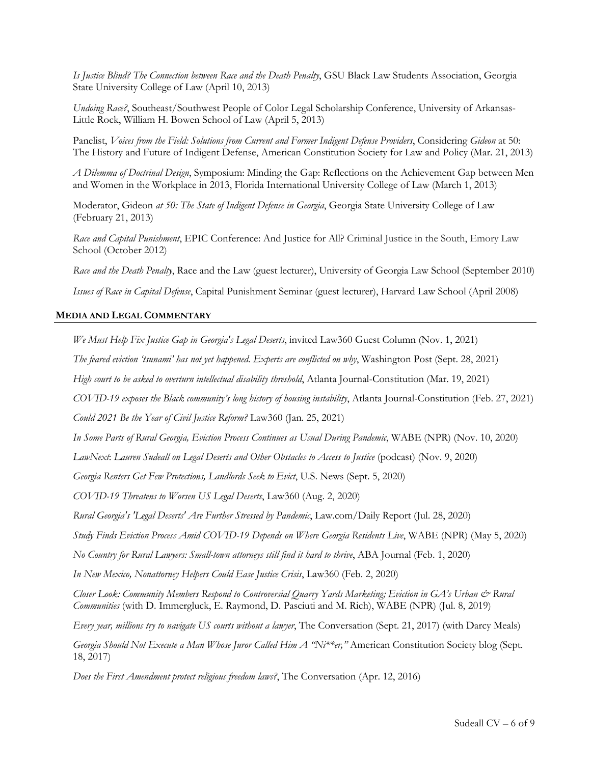*Is Justice Blind? The Connection between Race and the Death Penalty*, GSU Black Law Students Association, Georgia State University College of Law (April 10, 2013)

*Undoing Race?*, Southeast/Southwest People of Color Legal Scholarship Conference, University of Arkansas-Little Rock, William H. Bowen School of Law (April 5, 2013)

Panelist, *Voices from the Field: Solutions from Current and Former Indigent Defense Providers*, Considering *Gideon* at 50: The History and Future of Indigent Defense, American Constitution Society for Law and Policy (Mar. 21, 2013)

*A Dilemma of Doctrinal Design*, Symposium: Minding the Gap: Reflections on the Achievement Gap between Men and Women in the Workplace in 2013, Florida International University College of Law (March 1, 2013)

Moderator, Gideon *at 50: The State of Indigent Defense in Georgia*, Georgia State University College of Law (February 21, 2013)

*Race and Capital Punishment*, EPIC Conference: And Justice for All? Criminal Justice in the South, Emory Law School (October 2012)

*Race and the Death Penalty*, Race and the Law (guest lecturer), University of Georgia Law School (September 2010)

*Issues of Race in Capital Defense*, Capital Punishment Seminar (guest lecturer), Harvard Law School (April 2008)

#### **MEDIA AND LEGAL COMMENTARY**

*We Must Help Fix Justice Gap in Georgia's Legal Deserts*, invited Law360 Guest Column (Nov. 1, 2021)

*The feared eviction 'tsunami' has not yet happened. Experts are conflicted on why*, Washington Post (Sept. 28, 2021)

*High court to be asked to overturn intellectual disability threshold*, Atlanta Journal-Constitution (Mar. 19, 2021)

*COVID-19 exposes the Black community's long history of housing instability*, Atlanta Journal-Constitution (Feb. 27, 2021)

*Could 2021 Be the Year of Civil Justice Reform?* Law360 (Jan. 25, 2021)

*In Some Parts of Rural Georgia, Eviction Process Continues as Usual During Pandemic*, WABE (NPR) (Nov. 10, 2020)

*LawNext*: *Lauren Sudeall on Legal Deserts and Other Obstacles to Access to Justice* (podcast) (Nov. 9, 2020)

*Georgia Renters Get Few Protections, Landlords Seek to Evict*, U.S. News (Sept. 5, 2020)

*COVID-19 Threatens to Worsen US Legal Deserts*, Law360 (Aug. 2, 2020)

*Rural Georgia's 'Legal Deserts' Are Further Stressed by Pandemic*, Law.com/Daily Report (Jul. 28, 2020)

*Study Finds Eviction Process Amid COVID-19 Depends on Where Georgia Residents Live*, WABE (NPR) (May 5, 2020)

*No Country for Rural Lawyers: Small-town attorneys still find it hard to thrive*, ABA Journal (Feb. 1, 2020)

*In New Mexico, Nonattorney Helpers Could Ease Justice Crisis*, Law360 (Feb. 2, 2020)

*Closer Look: Community Members Respond to Controversial Quarry Yards Marketing; Eviction in GA's Urban & Rural Communities* (with D. Immergluck, E. Raymond, D. Pasciuti and M. Rich), WABE (NPR) (Jul. 8, 2019)

*Every year, millions try to navigate US courts without a lawyer*, The Conversation (Sept. 21, 2017) (with Darcy Meals)

*Georgia Should Not Execute a Man Whose Juror Called Him A "Ni\*\*er,"* American Constitution Society blog (Sept. 18, 2017)

*Does the First Amendment protect religious freedom laws?*, The Conversation (Apr. 12, 2016)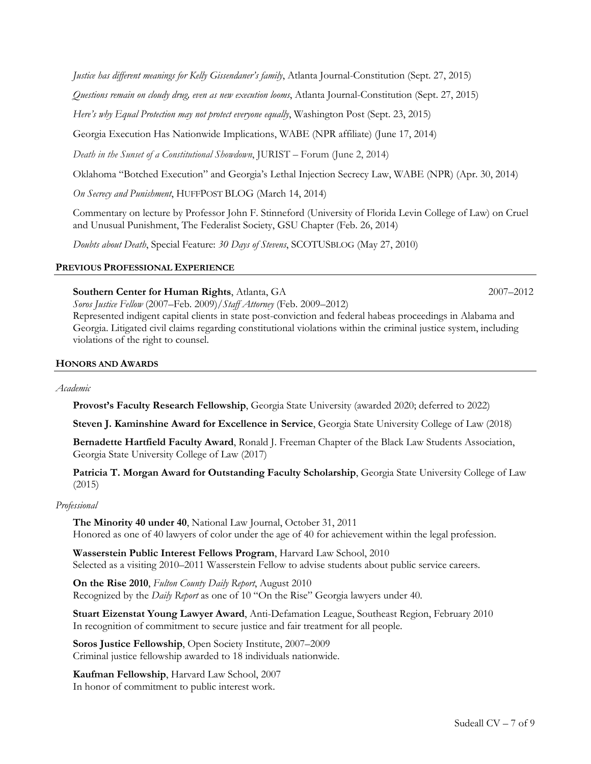*Justice has different meanings for Kelly Gissendaner's family*, Atlanta Journal-Constitution (Sept. 27, 2015)

*Questions remain on cloudy drug, even as new execution looms*, Atlanta Journal-Constitution (Sept. 27, 2015)

*Here's why Equal Protection may not protect everyone equally*, Washington Post (Sept. 23, 2015)

Georgia Execution Has Nationwide Implications, WABE (NPR affiliate) (June 17, 2014)

*Death in the Sunset of a Constitutional Showdown*, JURIST – Forum (June 2, 2014)

Oklahoma "Botched Execution" and Georgia's Lethal Injection Secrecy Law, WABE (NPR) (Apr. 30, 2014)

*On Secrecy and Punishment*, HUFFPOST BLOG (March 14, 2014)

Commentary on lecture by Professor John F. Stinneford (University of Florida Levin College of Law) on Cruel and Unusual Punishment, The Federalist Society, GSU Chapter (Feb. 26, 2014)

*Doubts about Death*, Special Feature: *30 Days of Stevens*, SCOTUSBLOG (May 27, 2010)

#### **PREVIOUS PROFESSIONAL EXPERIENCE**

### **Southern Center for Human Rights**, Atlanta, GA 2007–2012

*Soros Justice Fellow* (2007–Feb. 2009)/*Staff Attorney* (Feb. 2009–2012) Represented indigent capital clients in state post-conviction and federal habeas proceedings in Alabama and Georgia. Litigated civil claims regarding constitutional violations within the criminal justice system, including violations of the right to counsel.

### **HONORS AND AWARDS**

### *Academic*

**Provost's Faculty Research Fellowship**, Georgia State University (awarded 2020; deferred to 2022)

**Steven J. Kaminshine Award for Excellence in Service**, Georgia State University College of Law (2018)

**Bernadette Hartfield Faculty Award**, Ronald J. Freeman Chapter of the Black Law Students Association, Georgia State University College of Law (2017)

**Patricia T. Morgan Award for Outstanding Faculty Scholarship**, Georgia State University College of Law (2015)

### *Professional*

**The Minority 40 under 40**, National Law Journal, October 31, 2011 Honored as one of 40 lawyers of color under the age of 40 for achievement within the legal profession.

**Wasserstein Public Interest Fellows Program**, Harvard Law School, 2010 Selected as a visiting 2010–2011 Wasserstein Fellow to advise students about public service careers.

**On the Rise 2010**, *Fulton County Daily Report*, August 2010 Recognized by the *Daily Report* as one of 10 "On the Rise" Georgia lawyers under 40.

**Stuart Eizenstat Young Lawyer Award**, Anti-Defamation League, Southeast Region, February 2010 In recognition of commitment to secure justice and fair treatment for all people.

**Soros Justice Fellowship**, Open Society Institute, 2007–2009 Criminal justice fellowship awarded to 18 individuals nationwide.

**Kaufman Fellowship**, Harvard Law School, 2007 In honor of commitment to public interest work.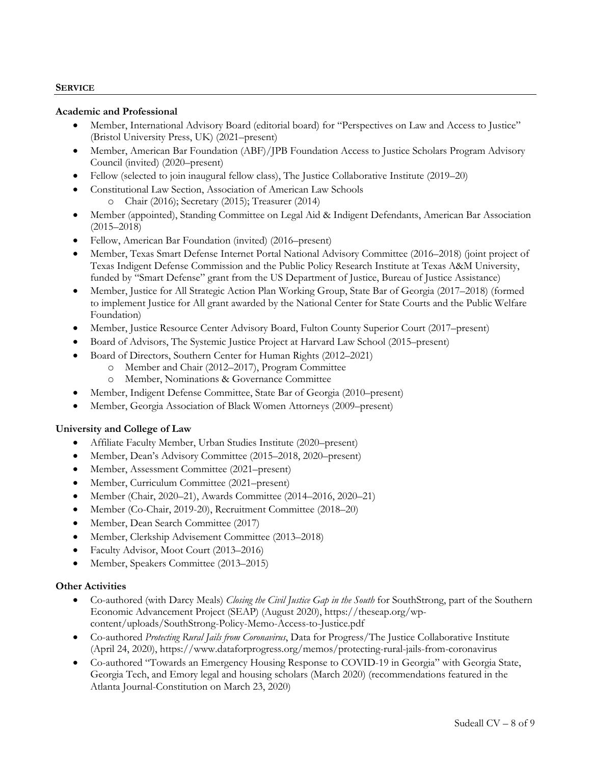### **SERVICE**

### **Academic and Professional**

- Member, International Advisory Board (editorial board) for "Perspectives on Law and Access to Justice" (Bristol University Press, UK) (2021–present)
- Member, American Bar Foundation (ABF)/JPB Foundation Access to Justice Scholars Program Advisory Council (invited) (2020–present)
- Fellow (selected to join inaugural fellow class), The Justice Collaborative Institute (2019–20)
- Constitutional Law Section, Association of American Law Schools o Chair (2016); Secretary (2015); Treasurer (2014)
- Member (appointed), Standing Committee on Legal Aid & Indigent Defendants, American Bar Association (2015–2018)
- Fellow, American Bar Foundation (invited) (2016–present)
- Member, Texas Smart Defense Internet Portal National Advisory Committee (2016–2018) (joint project of Texas Indigent Defense Commission and the Public Policy Research Institute at Texas A&M University, funded by "Smart Defense" grant from the US Department of Justice, Bureau of Justice Assistance)
- Member, Justice for All Strategic Action Plan Working Group, State Bar of Georgia (2017–2018) (formed to implement Justice for All grant awarded by the National Center for State Courts and the Public Welfare Foundation)
- Member, Justice Resource Center Advisory Board, Fulton County Superior Court (2017–present)
- Board of Advisors, The Systemic Justice Project at Harvard Law School (2015–present)
- Board of Directors, Southern Center for Human Rights (2012–2021)
	- o Member and Chair (2012–2017), Program Committee
	- o Member, Nominations & Governance Committee
- Member, Indigent Defense Committee, State Bar of Georgia (2010–present)
- Member, Georgia Association of Black Women Attorneys (2009–present)

# **University and College of Law**

- Affiliate Faculty Member, Urban Studies Institute (2020–present)
- Member, Dean's Advisory Committee (2015–2018, 2020–present)
- Member, Assessment Committee (2021–present)
- Member, Curriculum Committee (2021–present)
- Member (Chair, 2020–21), Awards Committee (2014–2016, 2020–21)
- Member (Co-Chair, 2019-20), Recruitment Committee (2018–20)
- Member, Dean Search Committee (2017)
- Member, Clerkship Advisement Committee (2013–2018)
- Faculty Advisor, Moot Court (2013–2016)
- Member, Speakers Committee (2013–2015)

# **Other Activities**

- Co-authored (with Darcy Meals) *Closing the Civil Justice Gap in the South* for SouthStrong, part of the Southern Economic Advancement Project (SEAP) (August 2020), https://theseap.org/wpcontent/uploads/SouthStrong-Policy-Memo-Access-to-Justice.pdf
- Co-authored *Protecting Rural Jails from Coronavirus*, Data for Progress/The Justice Collaborative Institute (April 24, 2020), https://www.dataforprogress.org/memos/protecting-rural-jails-from-coronavirus
- Co-authored "Towards an Emergency Housing Response to COVID-19 in Georgia" with Georgia State, Georgia Tech, and Emory legal and housing scholars (March 2020) (recommendations featured in the Atlanta Journal-Constitution on March 23, 2020)